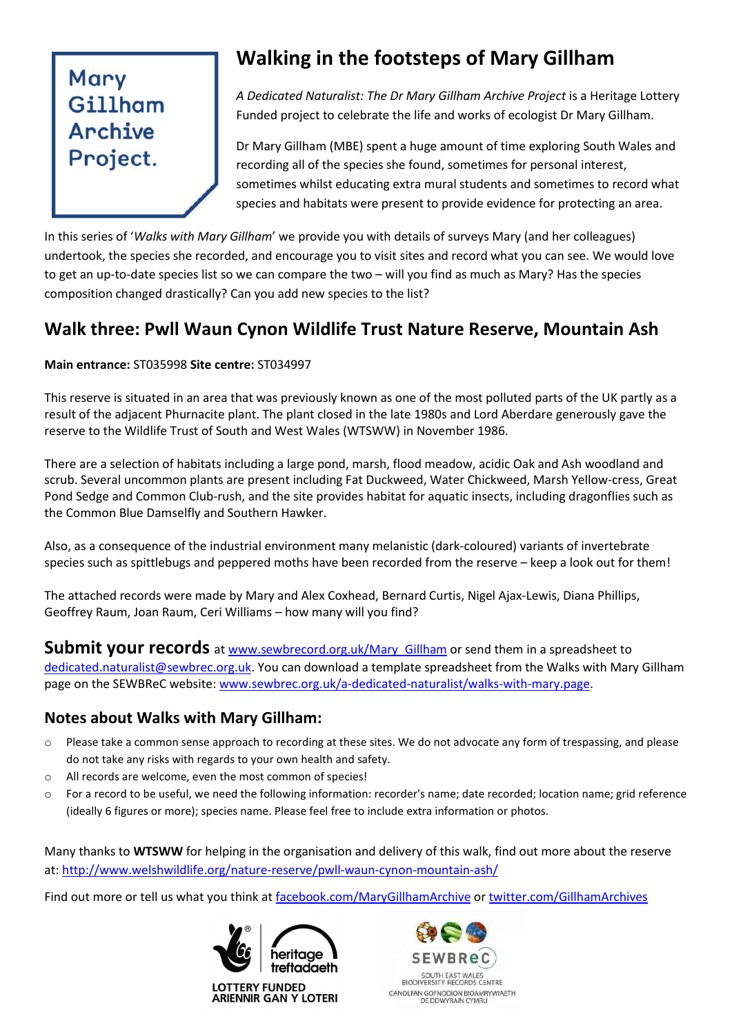# Mary Gillham Archive Project.

## **Walking in the footsteps of Mary Gillham**

*A Dedicated Naturalist: The Dr Mary Gillham Archive Project* is a Heritage Lottery Funded project to celebrate the life and works of ecologist Dr Mary Gillham.

Dr Mary Gillham (MBE) spent a huge amount of time exploring South Wales and recording all of the species she found, sometimes for personal interest, sometimes whilst educating extra mural students and sometimes to record what species and habitats were present to provide evidence for protecting an area.

In this series of '*Walks with Mary Gillham*' we provide you with details of surveys Mary (and her colleagues) undertook, the species she recorded, and encourage you to visit sites and record what you can see. We would love to get an up-to-date species list so we can compare the two – will you find as much as Mary? Has the species composition changed drastically? Can you add new species to the list?

### **Walk three: Pwll Waun Cynon Wildlife Trust Nature Reserve, Mountain Ash**

#### **Main entrance:** ST035998 **Site centre:** ST034997

This reserve is situated in an area that was previously known as one of the most polluted parts of the UK partly as a result of the adjacent Phurnacite plant. The plant closed in the late 1980s and Lord Aberdare generously gave the reserve to the Wildlife Trust of South and West Wales (WTSWW) in November 1986.

There are a selection of habitats including a large pond, marsh, flood meadow, acidic Oak and Ash woodland and scrub. Several uncommon plants are present including Fat Duckweed, Water Chickweed, Marsh Yellow-cress, Great Pond Sedge and Common Club-rush, and the site provides habitat for aquatic insects, including dragonflies such as the Common Blue Damselfly and Southern Hawker.

Also, as a consequence of the industrial environment many melanistic (dark-coloured) variants of invertebrate species such as spittlebugs and peppered moths have been recorded from the reserve – keep a look out for them!

The attached records were made by Mary and Alex Coxhead, Bernard Curtis, Nigel Ajax-Lewis, Diana Phillips, Geoffrey Raum, Joan Raum, Ceri Williams – how many will you find?

**Submit your records** at www.sewbrecord.org.uk/Mary Gillham or send them in a spreadsheet to dedicated.naturalist@sewbrec.org.uk. You can download a template spreadsheet from the Walks with Mary Gillham page on the SEWBReC website: www.sewbrec.org.uk/a-dedicated-naturalist/walks-with-mary.page.

### **Notes about Walks with Mary Gillham:**

- o Please take a common sense approach to recording at these sites. We do not advocate any form of trespassing, and please do not take any risks with regards to your own health and safety.
- o All records are welcome, even the most common of species!
- o For a record to be useful, we need the following information: recorder's name; date recorded; location name; grid reference (ideally 6 figures or more); species name. Please feel free to include extra information or photos.

Many thanks to **WTSWW** for helping in the organisation and delivery of this walk, find out more about the reserve at: http://www.welshwildlife.org/nature-reserve/pwll-waun-cynon-mountain-ash/

Find out more or tell us what you think at facebook.com/MaryGillhamArchive or twitter.com/GillhamArchives



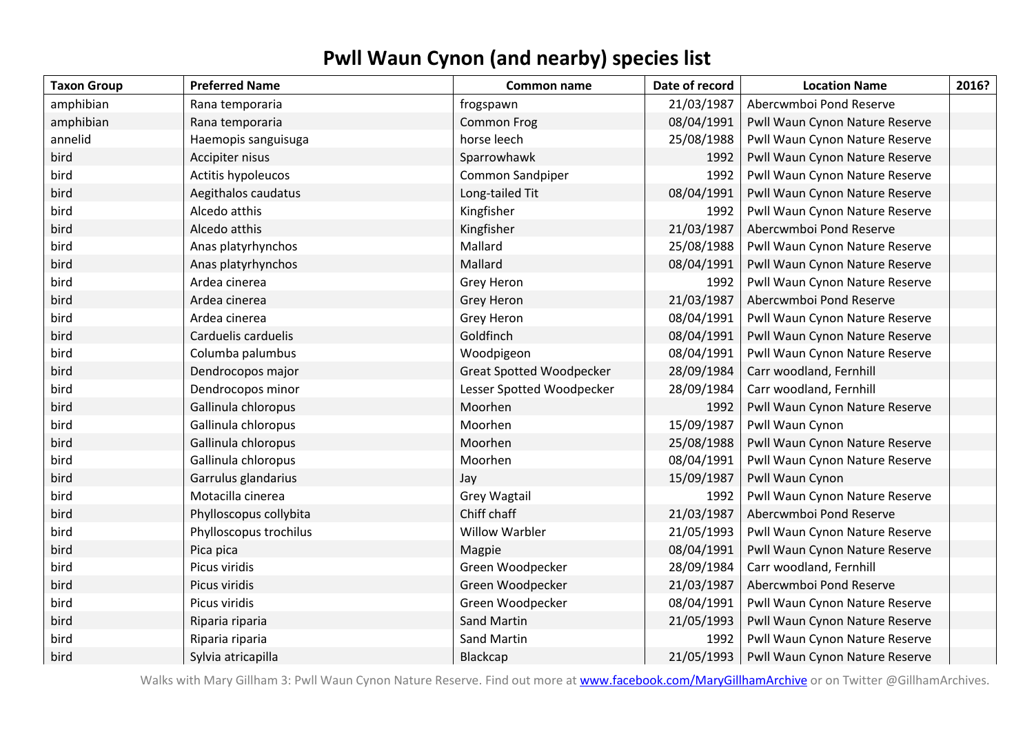### **Pwll Waun Cynon (and nearby) species list**

| <b>Taxon Group</b> | <b>Preferred Name</b>  | Common name                     | Date of record | <b>Location Name</b>           | 2016? |
|--------------------|------------------------|---------------------------------|----------------|--------------------------------|-------|
| amphibian          | Rana temporaria        | frogspawn                       | 21/03/1987     | Abercwmboi Pond Reserve        |       |
| amphibian          | Rana temporaria        | Common Frog                     | 08/04/1991     | Pwll Waun Cynon Nature Reserve |       |
| annelid            | Haemopis sanguisuga    | horse leech                     | 25/08/1988     | Pwll Waun Cynon Nature Reserve |       |
| bird               | Accipiter nisus        | Sparrowhawk                     | 1992           | Pwll Waun Cynon Nature Reserve |       |
| bird               | Actitis hypoleucos     | Common Sandpiper                | 1992           | Pwll Waun Cynon Nature Reserve |       |
| bird               | Aegithalos caudatus    | Long-tailed Tit                 | 08/04/1991     | Pwll Waun Cynon Nature Reserve |       |
| bird               | Alcedo atthis          | Kingfisher                      | 1992           | Pwll Waun Cynon Nature Reserve |       |
| bird               | Alcedo atthis          | Kingfisher                      | 21/03/1987     | Abercwmboi Pond Reserve        |       |
| bird               | Anas platyrhynchos     | Mallard                         | 25/08/1988     | Pwll Waun Cynon Nature Reserve |       |
| bird               | Anas platyrhynchos     | Mallard                         | 08/04/1991     | Pwll Waun Cynon Nature Reserve |       |
| bird               | Ardea cinerea          | Grey Heron                      | 1992           | Pwll Waun Cynon Nature Reserve |       |
| bird               | Ardea cinerea          | Grey Heron                      | 21/03/1987     | Abercwmboi Pond Reserve        |       |
| bird               | Ardea cinerea          | Grey Heron                      | 08/04/1991     | Pwll Waun Cynon Nature Reserve |       |
| bird               | Carduelis carduelis    | Goldfinch                       | 08/04/1991     | Pwll Waun Cynon Nature Reserve |       |
| bird               | Columba palumbus       | Woodpigeon                      | 08/04/1991     | Pwll Waun Cynon Nature Reserve |       |
| bird               | Dendrocopos major      | <b>Great Spotted Woodpecker</b> | 28/09/1984     | Carr woodland, Fernhill        |       |
| bird               | Dendrocopos minor      | Lesser Spotted Woodpecker       | 28/09/1984     | Carr woodland, Fernhill        |       |
| bird               | Gallinula chloropus    | Moorhen                         | 1992           | Pwll Waun Cynon Nature Reserve |       |
| bird               | Gallinula chloropus    | Moorhen                         | 15/09/1987     | Pwll Waun Cynon                |       |
| bird               | Gallinula chloropus    | Moorhen                         | 25/08/1988     | Pwll Waun Cynon Nature Reserve |       |
| bird               | Gallinula chloropus    | Moorhen                         | 08/04/1991     | Pwll Waun Cynon Nature Reserve |       |
| bird               | Garrulus glandarius    | Jay                             | 15/09/1987     | Pwll Waun Cynon                |       |
| bird               | Motacilla cinerea      | <b>Grey Wagtail</b>             | 1992           | Pwll Waun Cynon Nature Reserve |       |
| bird               | Phylloscopus collybita | Chiff chaff                     | 21/03/1987     | Abercwmboi Pond Reserve        |       |
| bird               | Phylloscopus trochilus | <b>Willow Warbler</b>           | 21/05/1993     | Pwll Waun Cynon Nature Reserve |       |
| bird               | Pica pica              | Magpie                          | 08/04/1991     | Pwll Waun Cynon Nature Reserve |       |
| bird               | Picus viridis          | Green Woodpecker                | 28/09/1984     | Carr woodland, Fernhill        |       |
| bird               | Picus viridis          | Green Woodpecker                | 21/03/1987     | Abercwmboi Pond Reserve        |       |
| bird               | Picus viridis          | Green Woodpecker                | 08/04/1991     | Pwll Waun Cynon Nature Reserve |       |
| bird               | Riparia riparia        | <b>Sand Martin</b>              | 21/05/1993     | Pwll Waun Cynon Nature Reserve |       |
| bird               | Riparia riparia        | Sand Martin                     | 1992           | Pwll Waun Cynon Nature Reserve |       |
| bird               | Sylvia atricapilla     | Blackcap                        | 21/05/1993     | Pwll Waun Cynon Nature Reserve |       |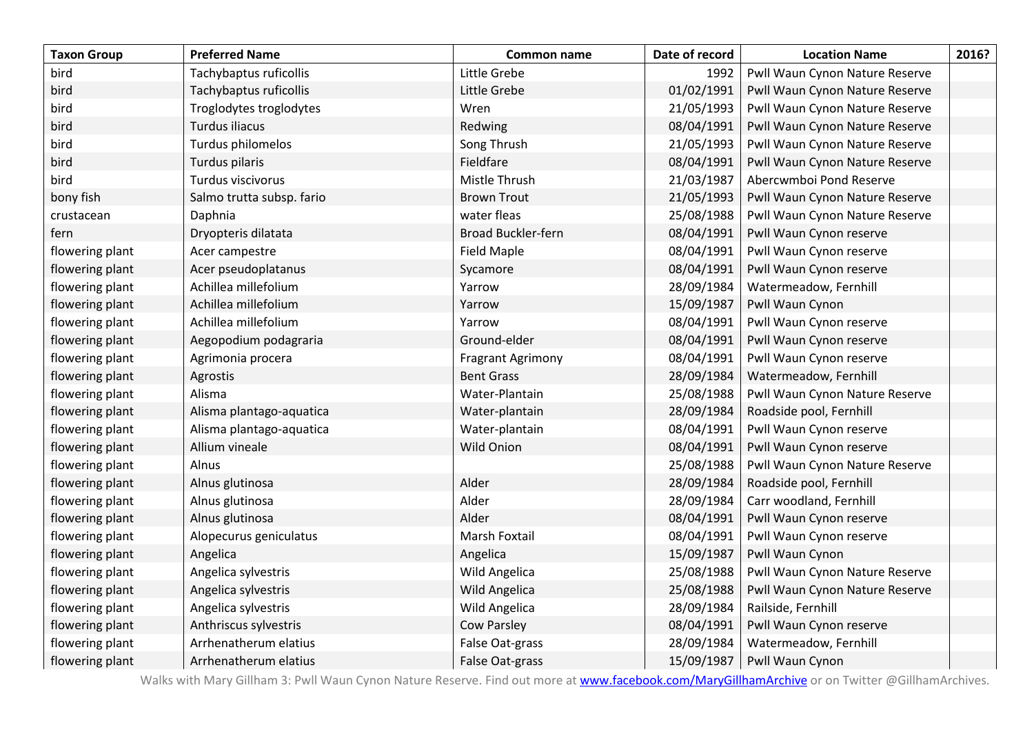| <b>Taxon Group</b> | <b>Preferred Name</b>     | Common name               | Date of record | <b>Location Name</b>           | 2016? |
|--------------------|---------------------------|---------------------------|----------------|--------------------------------|-------|
| bird               | Tachybaptus ruficollis    | Little Grebe              | 1992           | Pwll Waun Cynon Nature Reserve |       |
| bird               | Tachybaptus ruficollis    | Little Grebe              | 01/02/1991     | Pwll Waun Cynon Nature Reserve |       |
| bird               | Troglodytes troglodytes   | Wren                      | 21/05/1993     | Pwll Waun Cynon Nature Reserve |       |
| bird               | Turdus iliacus            | Redwing                   | 08/04/1991     | Pwll Waun Cynon Nature Reserve |       |
| bird               | Turdus philomelos         | Song Thrush               | 21/05/1993     | Pwll Waun Cynon Nature Reserve |       |
| bird               | Turdus pilaris            | Fieldfare                 | 08/04/1991     | Pwll Waun Cynon Nature Reserve |       |
| bird               | Turdus viscivorus         | Mistle Thrush             | 21/03/1987     | Abercwmboi Pond Reserve        |       |
| bony fish          | Salmo trutta subsp. fario | <b>Brown Trout</b>        | 21/05/1993     | Pwll Waun Cynon Nature Reserve |       |
| crustacean         | Daphnia                   | water fleas               | 25/08/1988     | Pwll Waun Cynon Nature Reserve |       |
| fern               | Dryopteris dilatata       | <b>Broad Buckler-fern</b> | 08/04/1991     | Pwll Waun Cynon reserve        |       |
| flowering plant    | Acer campestre            | <b>Field Maple</b>        | 08/04/1991     | Pwll Waun Cynon reserve        |       |
| flowering plant    | Acer pseudoplatanus       | Sycamore                  | 08/04/1991     | Pwll Waun Cynon reserve        |       |
| flowering plant    | Achillea millefolium      | Yarrow                    | 28/09/1984     | Watermeadow, Fernhill          |       |
| flowering plant    | Achillea millefolium      | Yarrow                    | 15/09/1987     | Pwll Waun Cynon                |       |
| flowering plant    | Achillea millefolium      | Yarrow                    | 08/04/1991     | Pwll Waun Cynon reserve        |       |
| flowering plant    | Aegopodium podagraria     | Ground-elder              | 08/04/1991     | Pwll Waun Cynon reserve        |       |
| flowering plant    | Agrimonia procera         | Fragrant Agrimony         | 08/04/1991     | Pwll Waun Cynon reserve        |       |
| flowering plant    | Agrostis                  | <b>Bent Grass</b>         | 28/09/1984     | Watermeadow, Fernhill          |       |
| flowering plant    | Alisma                    | Water-Plantain            | 25/08/1988     | Pwll Waun Cynon Nature Reserve |       |
| flowering plant    | Alisma plantago-aquatica  | Water-plantain            | 28/09/1984     | Roadside pool, Fernhill        |       |
| flowering plant    | Alisma plantago-aquatica  | Water-plantain            | 08/04/1991     | Pwll Waun Cynon reserve        |       |
| flowering plant    | Allium vineale            | Wild Onion                | 08/04/1991     | Pwll Waun Cynon reserve        |       |
| flowering plant    | Alnus                     |                           | 25/08/1988     | Pwll Waun Cynon Nature Reserve |       |
| flowering plant    | Alnus glutinosa           | Alder                     | 28/09/1984     | Roadside pool, Fernhill        |       |
| flowering plant    | Alnus glutinosa           | Alder                     | 28/09/1984     | Carr woodland, Fernhill        |       |
| flowering plant    | Alnus glutinosa           | Alder                     | 08/04/1991     | Pwll Waun Cynon reserve        |       |
| flowering plant    | Alopecurus geniculatus    | Marsh Foxtail             | 08/04/1991     | Pwll Waun Cynon reserve        |       |
| flowering plant    | Angelica                  | Angelica                  | 15/09/1987     | Pwll Waun Cynon                |       |
| flowering plant    | Angelica sylvestris       | Wild Angelica             | 25/08/1988     | Pwll Waun Cynon Nature Reserve |       |
| flowering plant    | Angelica sylvestris       | Wild Angelica             | 25/08/1988     | Pwll Waun Cynon Nature Reserve |       |
| flowering plant    | Angelica sylvestris       | Wild Angelica             | 28/09/1984     | Railside, Fernhill             |       |
| flowering plant    | Anthriscus sylvestris     | <b>Cow Parsley</b>        | 08/04/1991     | Pwll Waun Cynon reserve        |       |
| flowering plant    | Arrhenatherum elatius     | False Oat-grass           | 28/09/1984     | Watermeadow, Fernhill          |       |
| flowering plant    | Arrhenatherum elatius     | False Oat-grass           | 15/09/1987     | Pwll Waun Cynon                |       |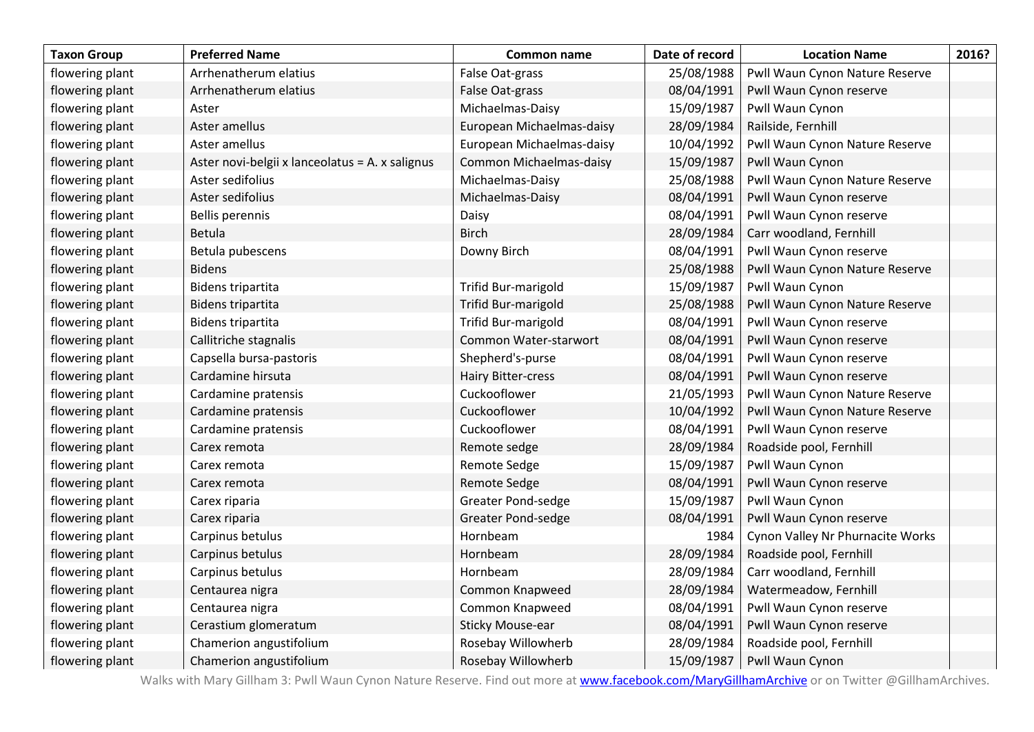| <b>Taxon Group</b> | <b>Preferred Name</b>                           | Common name                | Date of record | <b>Location Name</b>             | 2016? |
|--------------------|-------------------------------------------------|----------------------------|----------------|----------------------------------|-------|
| flowering plant    | Arrhenatherum elatius                           | False Oat-grass            | 25/08/1988     | Pwll Waun Cynon Nature Reserve   |       |
| flowering plant    | Arrhenatherum elatius                           | False Oat-grass            | 08/04/1991     | Pwll Waun Cynon reserve          |       |
| flowering plant    | Aster                                           | Michaelmas-Daisy           | 15/09/1987     | Pwll Waun Cynon                  |       |
| flowering plant    | Aster amellus                                   | European Michaelmas-daisy  | 28/09/1984     | Railside, Fernhill               |       |
| flowering plant    | Aster amellus                                   | European Michaelmas-daisy  | 10/04/1992     | Pwll Waun Cynon Nature Reserve   |       |
| flowering plant    | Aster novi-belgii x lanceolatus = A. x salignus | Common Michaelmas-daisy    | 15/09/1987     | Pwll Waun Cynon                  |       |
| flowering plant    | Aster sedifolius                                | Michaelmas-Daisy           | 25/08/1988     | Pwll Waun Cynon Nature Reserve   |       |
| flowering plant    | Aster sedifolius                                | Michaelmas-Daisy           | 08/04/1991     | Pwll Waun Cynon reserve          |       |
| flowering plant    | Bellis perennis                                 | Daisy                      | 08/04/1991     | Pwll Waun Cynon reserve          |       |
| flowering plant    | Betula                                          | <b>Birch</b>               | 28/09/1984     | Carr woodland, Fernhill          |       |
| flowering plant    | Betula pubescens                                | Downy Birch                | 08/04/1991     | Pwll Waun Cynon reserve          |       |
| flowering plant    | <b>Bidens</b>                                   |                            | 25/08/1988     | Pwll Waun Cynon Nature Reserve   |       |
| flowering plant    | Bidens tripartita                               | Trifid Bur-marigold        | 15/09/1987     | Pwll Waun Cynon                  |       |
| flowering plant    | Bidens tripartita                               | <b>Trifid Bur-marigold</b> | 25/08/1988     | Pwll Waun Cynon Nature Reserve   |       |
| flowering plant    | Bidens tripartita                               | Trifid Bur-marigold        | 08/04/1991     | Pwll Waun Cynon reserve          |       |
| flowering plant    | Callitriche stagnalis                           | Common Water-starwort      | 08/04/1991     | Pwll Waun Cynon reserve          |       |
| flowering plant    | Capsella bursa-pastoris                         | Shepherd's-purse           | 08/04/1991     | Pwll Waun Cynon reserve          |       |
| flowering plant    | Cardamine hirsuta                               | <b>Hairy Bitter-cress</b>  | 08/04/1991     | Pwll Waun Cynon reserve          |       |
| flowering plant    | Cardamine pratensis                             | Cuckooflower               | 21/05/1993     | Pwll Waun Cynon Nature Reserve   |       |
| flowering plant    | Cardamine pratensis                             | Cuckooflower               | 10/04/1992     | Pwll Waun Cynon Nature Reserve   |       |
| flowering plant    | Cardamine pratensis                             | Cuckooflower               | 08/04/1991     | Pwll Waun Cynon reserve          |       |
| flowering plant    | Carex remota                                    | Remote sedge               | 28/09/1984     | Roadside pool, Fernhill          |       |
| flowering plant    | Carex remota                                    | Remote Sedge               | 15/09/1987     | Pwll Waun Cynon                  |       |
| flowering plant    | Carex remota                                    | Remote Sedge               | 08/04/1991     | Pwll Waun Cynon reserve          |       |
| flowering plant    | Carex riparia                                   | <b>Greater Pond-sedge</b>  | 15/09/1987     | Pwll Waun Cynon                  |       |
| flowering plant    | Carex riparia                                   | <b>Greater Pond-sedge</b>  | 08/04/1991     | Pwll Waun Cynon reserve          |       |
| flowering plant    | Carpinus betulus                                | Hornbeam                   | 1984           | Cynon Valley Nr Phurnacite Works |       |
| flowering plant    | Carpinus betulus                                | Hornbeam                   | 28/09/1984     | Roadside pool, Fernhill          |       |
| flowering plant    | Carpinus betulus                                | Hornbeam                   | 28/09/1984     | Carr woodland, Fernhill          |       |
| flowering plant    | Centaurea nigra                                 | Common Knapweed            | 28/09/1984     | Watermeadow, Fernhill            |       |
| flowering plant    | Centaurea nigra                                 | Common Knapweed            | 08/04/1991     | Pwll Waun Cynon reserve          |       |
| flowering plant    | Cerastium glomeratum                            | <b>Sticky Mouse-ear</b>    | 08/04/1991     | Pwll Waun Cynon reserve          |       |
| flowering plant    | Chamerion angustifolium                         | Rosebay Willowherb         | 28/09/1984     | Roadside pool, Fernhill          |       |
| flowering plant    | Chamerion angustifolium                         | Rosebay Willowherb         | 15/09/1987     | Pwll Waun Cynon                  |       |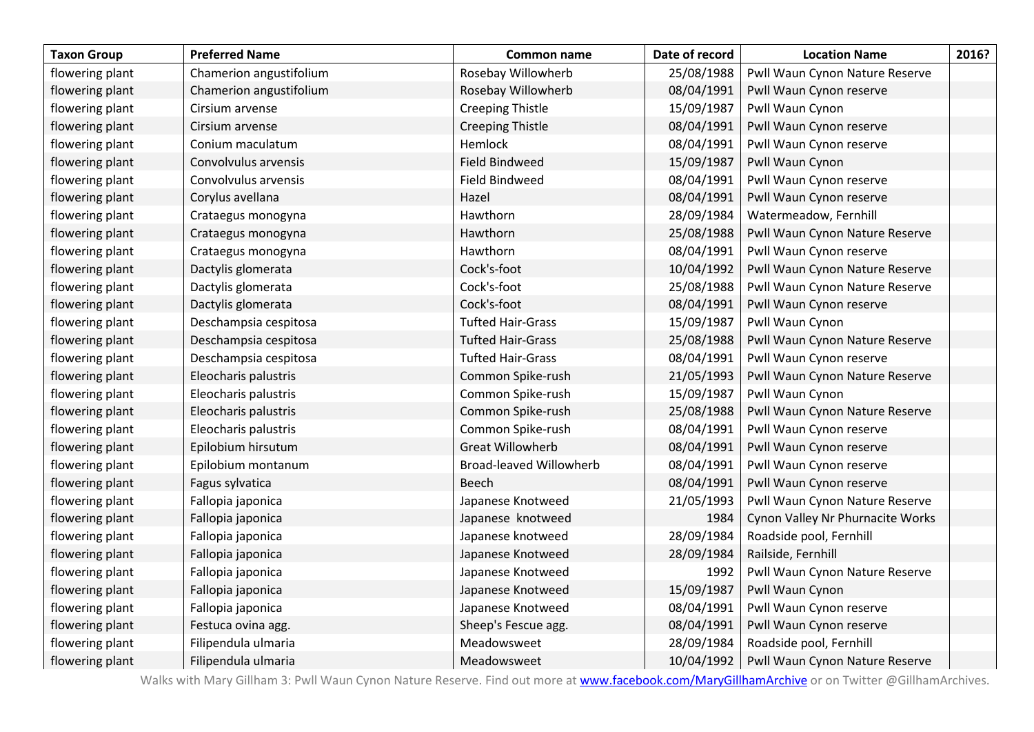| <b>Taxon Group</b> | <b>Preferred Name</b>   | Common name                    | Date of record | <b>Location Name</b>             | 2016? |
|--------------------|-------------------------|--------------------------------|----------------|----------------------------------|-------|
| flowering plant    | Chamerion angustifolium | Rosebay Willowherb             | 25/08/1988     | Pwll Waun Cynon Nature Reserve   |       |
| flowering plant    | Chamerion angustifolium | Rosebay Willowherb             | 08/04/1991     | Pwll Waun Cynon reserve          |       |
| flowering plant    | Cirsium arvense         | <b>Creeping Thistle</b>        | 15/09/1987     | Pwll Waun Cynon                  |       |
| flowering plant    | Cirsium arvense         | <b>Creeping Thistle</b>        | 08/04/1991     | Pwll Waun Cynon reserve          |       |
| flowering plant    | Conium maculatum        | Hemlock                        | 08/04/1991     | Pwll Waun Cynon reserve          |       |
| flowering plant    | Convolvulus arvensis    | <b>Field Bindweed</b>          | 15/09/1987     | Pwll Waun Cynon                  |       |
| flowering plant    | Convolvulus arvensis    | <b>Field Bindweed</b>          | 08/04/1991     | Pwll Waun Cynon reserve          |       |
| flowering plant    | Corylus avellana        | Hazel                          | 08/04/1991     | Pwll Waun Cynon reserve          |       |
| flowering plant    | Crataegus monogyna      | Hawthorn                       | 28/09/1984     | Watermeadow, Fernhill            |       |
| flowering plant    | Crataegus monogyna      | Hawthorn                       | 25/08/1988     | Pwll Waun Cynon Nature Reserve   |       |
| flowering plant    | Crataegus monogyna      | Hawthorn                       | 08/04/1991     | Pwll Waun Cynon reserve          |       |
| flowering plant    | Dactylis glomerata      | Cock's-foot                    | 10/04/1992     | Pwll Waun Cynon Nature Reserve   |       |
| flowering plant    | Dactylis glomerata      | Cock's-foot                    | 25/08/1988     | Pwll Waun Cynon Nature Reserve   |       |
| flowering plant    | Dactylis glomerata      | Cock's-foot                    | 08/04/1991     | Pwll Waun Cynon reserve          |       |
| flowering plant    | Deschampsia cespitosa   | <b>Tufted Hair-Grass</b>       | 15/09/1987     | Pwll Waun Cynon                  |       |
| flowering plant    | Deschampsia cespitosa   | <b>Tufted Hair-Grass</b>       | 25/08/1988     | Pwll Waun Cynon Nature Reserve   |       |
| flowering plant    | Deschampsia cespitosa   | <b>Tufted Hair-Grass</b>       | 08/04/1991     | Pwll Waun Cynon reserve          |       |
| flowering plant    | Eleocharis palustris    | Common Spike-rush              | 21/05/1993     | Pwll Waun Cynon Nature Reserve   |       |
| flowering plant    | Eleocharis palustris    | Common Spike-rush              | 15/09/1987     | Pwll Waun Cynon                  |       |
| flowering plant    | Eleocharis palustris    | Common Spike-rush              | 25/08/1988     | Pwll Waun Cynon Nature Reserve   |       |
| flowering plant    | Eleocharis palustris    | Common Spike-rush              | 08/04/1991     | Pwll Waun Cynon reserve          |       |
| flowering plant    | Epilobium hirsutum      | <b>Great Willowherb</b>        | 08/04/1991     | Pwll Waun Cynon reserve          |       |
| flowering plant    | Epilobium montanum      | <b>Broad-leaved Willowherb</b> | 08/04/1991     | Pwll Waun Cynon reserve          |       |
| flowering plant    | Fagus sylvatica         | <b>Beech</b>                   | 08/04/1991     | Pwll Waun Cynon reserve          |       |
| flowering plant    | Fallopia japonica       | Japanese Knotweed              | 21/05/1993     | Pwll Waun Cynon Nature Reserve   |       |
| flowering plant    | Fallopia japonica       | Japanese knotweed              | 1984           | Cynon Valley Nr Phurnacite Works |       |
| flowering plant    | Fallopia japonica       | Japanese knotweed              | 28/09/1984     | Roadside pool, Fernhill          |       |
| flowering plant    | Fallopia japonica       | Japanese Knotweed              | 28/09/1984     | Railside, Fernhill               |       |
| flowering plant    | Fallopia japonica       | Japanese Knotweed              | 1992           | Pwll Waun Cynon Nature Reserve   |       |
| flowering plant    | Fallopia japonica       | Japanese Knotweed              | 15/09/1987     | Pwll Waun Cynon                  |       |
| flowering plant    | Fallopia japonica       | Japanese Knotweed              | 08/04/1991     | Pwll Waun Cynon reserve          |       |
| flowering plant    | Festuca ovina agg.      | Sheep's Fescue agg.            | 08/04/1991     | Pwll Waun Cynon reserve          |       |
| flowering plant    | Filipendula ulmaria     | Meadowsweet                    | 28/09/1984     | Roadside pool, Fernhill          |       |
| flowering plant    | Filipendula ulmaria     | Meadowsweet                    | 10/04/1992     | Pwll Waun Cynon Nature Reserve   |       |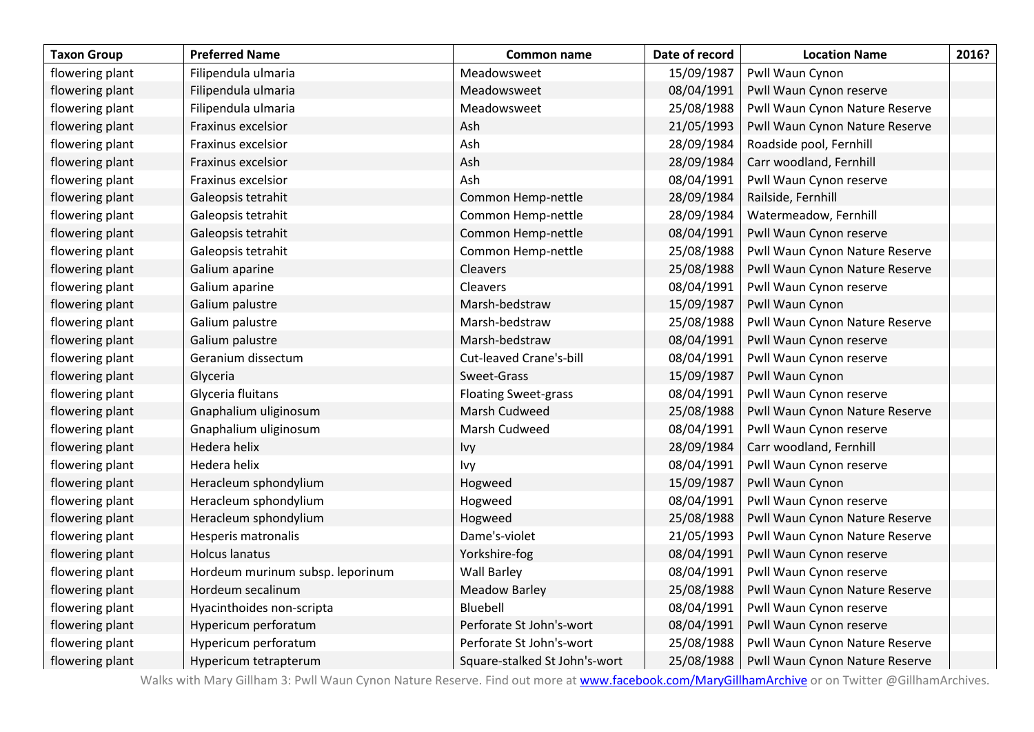| <b>Taxon Group</b> | <b>Preferred Name</b>            | Common name                   | Date of record | <b>Location Name</b>           | 2016? |
|--------------------|----------------------------------|-------------------------------|----------------|--------------------------------|-------|
| flowering plant    | Filipendula ulmaria              | Meadowsweet                   | 15/09/1987     | Pwll Waun Cynon                |       |
| flowering plant    | Filipendula ulmaria              | Meadowsweet                   | 08/04/1991     | Pwll Waun Cynon reserve        |       |
| flowering plant    | Filipendula ulmaria              | Meadowsweet                   | 25/08/1988     | Pwll Waun Cynon Nature Reserve |       |
| flowering plant    | Fraxinus excelsior               | Ash                           | 21/05/1993     | Pwll Waun Cynon Nature Reserve |       |
| flowering plant    | Fraxinus excelsior               | Ash                           | 28/09/1984     | Roadside pool, Fernhill        |       |
| flowering plant    | Fraxinus excelsior               | Ash                           | 28/09/1984     | Carr woodland, Fernhill        |       |
| flowering plant    | Fraxinus excelsior               | Ash                           | 08/04/1991     | Pwll Waun Cynon reserve        |       |
| flowering plant    | Galeopsis tetrahit               | Common Hemp-nettle            | 28/09/1984     | Railside, Fernhill             |       |
| flowering plant    | Galeopsis tetrahit               | Common Hemp-nettle            | 28/09/1984     | Watermeadow, Fernhill          |       |
| flowering plant    | Galeopsis tetrahit               | Common Hemp-nettle            | 08/04/1991     | Pwll Waun Cynon reserve        |       |
| flowering plant    | Galeopsis tetrahit               | Common Hemp-nettle            | 25/08/1988     | Pwll Waun Cynon Nature Reserve |       |
| flowering plant    | Galium aparine                   | Cleavers                      | 25/08/1988     | Pwll Waun Cynon Nature Reserve |       |
| flowering plant    | Galium aparine                   | Cleavers                      | 08/04/1991     | Pwll Waun Cynon reserve        |       |
| flowering plant    | Galium palustre                  | Marsh-bedstraw                | 15/09/1987     | Pwll Waun Cynon                |       |
| flowering plant    | Galium palustre                  | Marsh-bedstraw                | 25/08/1988     | Pwll Waun Cynon Nature Reserve |       |
| flowering plant    | Galium palustre                  | Marsh-bedstraw                | 08/04/1991     | Pwll Waun Cynon reserve        |       |
| flowering plant    | Geranium dissectum               | Cut-leaved Crane's-bill       | 08/04/1991     | Pwll Waun Cynon reserve        |       |
| flowering plant    | Glyceria                         | Sweet-Grass                   | 15/09/1987     | Pwll Waun Cynon                |       |
| flowering plant    | Glyceria fluitans                | <b>Floating Sweet-grass</b>   | 08/04/1991     | Pwll Waun Cynon reserve        |       |
| flowering plant    | Gnaphalium uliginosum            | Marsh Cudweed                 | 25/08/1988     | Pwll Waun Cynon Nature Reserve |       |
| flowering plant    | Gnaphalium uliginosum            | Marsh Cudweed                 | 08/04/1991     | Pwll Waun Cynon reserve        |       |
| flowering plant    | Hedera helix                     | Ivy                           | 28/09/1984     | Carr woodland, Fernhill        |       |
| flowering plant    | Hedera helix                     | Ivy                           | 08/04/1991     | Pwll Waun Cynon reserve        |       |
| flowering plant    | Heracleum sphondylium            | Hogweed                       | 15/09/1987     | Pwll Waun Cynon                |       |
| flowering plant    | Heracleum sphondylium            | Hogweed                       | 08/04/1991     | Pwll Waun Cynon reserve        |       |
| flowering plant    | Heracleum sphondylium            | Hogweed                       | 25/08/1988     | Pwll Waun Cynon Nature Reserve |       |
| flowering plant    | <b>Hesperis matronalis</b>       | Dame's-violet                 | 21/05/1993     | Pwll Waun Cynon Nature Reserve |       |
| flowering plant    | <b>Holcus lanatus</b>            | Yorkshire-fog                 | 08/04/1991     | Pwll Waun Cynon reserve        |       |
| flowering plant    | Hordeum murinum subsp. leporinum | <b>Wall Barley</b>            | 08/04/1991     | Pwll Waun Cynon reserve        |       |
| flowering plant    | Hordeum secalinum                | <b>Meadow Barley</b>          | 25/08/1988     | Pwll Waun Cynon Nature Reserve |       |
| flowering plant    | Hyacinthoides non-scripta        | Bluebell                      | 08/04/1991     | Pwll Waun Cynon reserve        |       |
| flowering plant    | Hypericum perforatum             | Perforate St John's-wort      | 08/04/1991     | Pwll Waun Cynon reserve        |       |
| flowering plant    | Hypericum perforatum             | Perforate St John's-wort      | 25/08/1988     | Pwll Waun Cynon Nature Reserve |       |
| flowering plant    | Hypericum tetrapterum            | Square-stalked St John's-wort | 25/08/1988     | Pwll Waun Cynon Nature Reserve |       |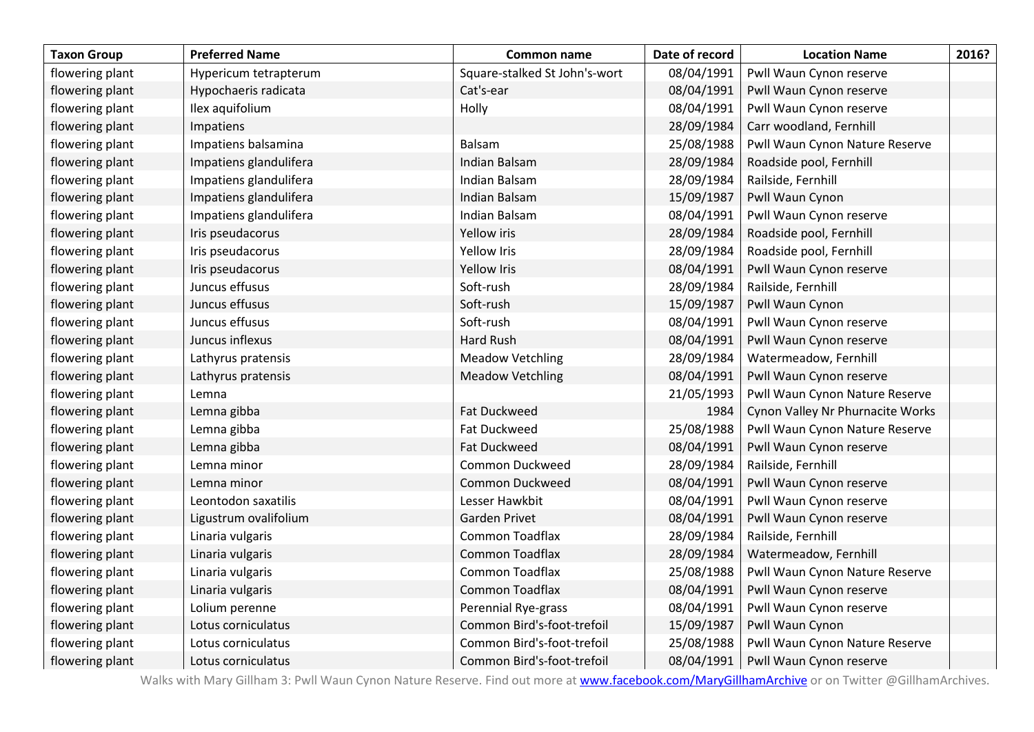| <b>Taxon Group</b> | <b>Preferred Name</b>  | Common name                   | Date of record | <b>Location Name</b>             | 2016? |
|--------------------|------------------------|-------------------------------|----------------|----------------------------------|-------|
| flowering plant    | Hypericum tetrapterum  | Square-stalked St John's-wort | 08/04/1991     | Pwll Waun Cynon reserve          |       |
| flowering plant    | Hypochaeris radicata   | Cat's-ear                     | 08/04/1991     | Pwll Waun Cynon reserve          |       |
| flowering plant    | Ilex aquifolium        | Holly                         | 08/04/1991     | Pwll Waun Cynon reserve          |       |
| flowering plant    | Impatiens              |                               | 28/09/1984     | Carr woodland, Fernhill          |       |
| flowering plant    | Impatiens balsamina    | Balsam                        | 25/08/1988     | Pwll Waun Cynon Nature Reserve   |       |
| flowering plant    | Impatiens glandulifera | Indian Balsam                 | 28/09/1984     | Roadside pool, Fernhill          |       |
| flowering plant    | Impatiens glandulifera | Indian Balsam                 | 28/09/1984     | Railside, Fernhill               |       |
| flowering plant    | Impatiens glandulifera | Indian Balsam                 | 15/09/1987     | Pwll Waun Cynon                  |       |
| flowering plant    | Impatiens glandulifera | Indian Balsam                 | 08/04/1991     | Pwll Waun Cynon reserve          |       |
| flowering plant    | Iris pseudacorus       | Yellow iris                   | 28/09/1984     | Roadside pool, Fernhill          |       |
| flowering plant    | Iris pseudacorus       | <b>Yellow Iris</b>            | 28/09/1984     | Roadside pool, Fernhill          |       |
| flowering plant    | Iris pseudacorus       | <b>Yellow Iris</b>            | 08/04/1991     | Pwll Waun Cynon reserve          |       |
| flowering plant    | Juncus effusus         | Soft-rush                     | 28/09/1984     | Railside, Fernhill               |       |
| flowering plant    | Juncus effusus         | Soft-rush                     | 15/09/1987     | Pwll Waun Cynon                  |       |
| flowering plant    | Juncus effusus         | Soft-rush                     | 08/04/1991     | Pwll Waun Cynon reserve          |       |
| flowering plant    | Juncus inflexus        | Hard Rush                     | 08/04/1991     | Pwll Waun Cynon reserve          |       |
| flowering plant    | Lathyrus pratensis     | <b>Meadow Vetchling</b>       | 28/09/1984     | Watermeadow, Fernhill            |       |
| flowering plant    | Lathyrus pratensis     | <b>Meadow Vetchling</b>       | 08/04/1991     | Pwll Waun Cynon reserve          |       |
| flowering plant    | Lemna                  |                               | 21/05/1993     | Pwll Waun Cynon Nature Reserve   |       |
| flowering plant    | Lemna gibba            | <b>Fat Duckweed</b>           | 1984           | Cynon Valley Nr Phurnacite Works |       |
| flowering plant    | Lemna gibba            | <b>Fat Duckweed</b>           | 25/08/1988     | Pwll Waun Cynon Nature Reserve   |       |
| flowering plant    | Lemna gibba            | <b>Fat Duckweed</b>           | 08/04/1991     | Pwll Waun Cynon reserve          |       |
| flowering plant    | Lemna minor            | Common Duckweed               | 28/09/1984     | Railside, Fernhill               |       |
| flowering plant    | Lemna minor            | <b>Common Duckweed</b>        | 08/04/1991     | Pwll Waun Cynon reserve          |       |
| flowering plant    | Leontodon saxatilis    | Lesser Hawkbit                | 08/04/1991     | Pwll Waun Cynon reserve          |       |
| flowering plant    | Ligustrum ovalifolium  | Garden Privet                 | 08/04/1991     | Pwll Waun Cynon reserve          |       |
| flowering plant    | Linaria vulgaris       | Common Toadflax               | 28/09/1984     | Railside, Fernhill               |       |
| flowering plant    | Linaria vulgaris       | <b>Common Toadflax</b>        | 28/09/1984     | Watermeadow, Fernhill            |       |
| flowering plant    | Linaria vulgaris       | <b>Common Toadflax</b>        | 25/08/1988     | Pwll Waun Cynon Nature Reserve   |       |
| flowering plant    | Linaria vulgaris       | Common Toadflax               | 08/04/1991     | Pwll Waun Cynon reserve          |       |
| flowering plant    | Lolium perenne         | Perennial Rye-grass           | 08/04/1991     | Pwll Waun Cynon reserve          |       |
| flowering plant    | Lotus corniculatus     | Common Bird's-foot-trefoil    | 15/09/1987     | Pwll Waun Cynon                  |       |
| flowering plant    | Lotus corniculatus     | Common Bird's-foot-trefoil    | 25/08/1988     | Pwll Waun Cynon Nature Reserve   |       |
| flowering plant    | Lotus corniculatus     | Common Bird's-foot-trefoil    | 08/04/1991     | Pwll Waun Cynon reserve          |       |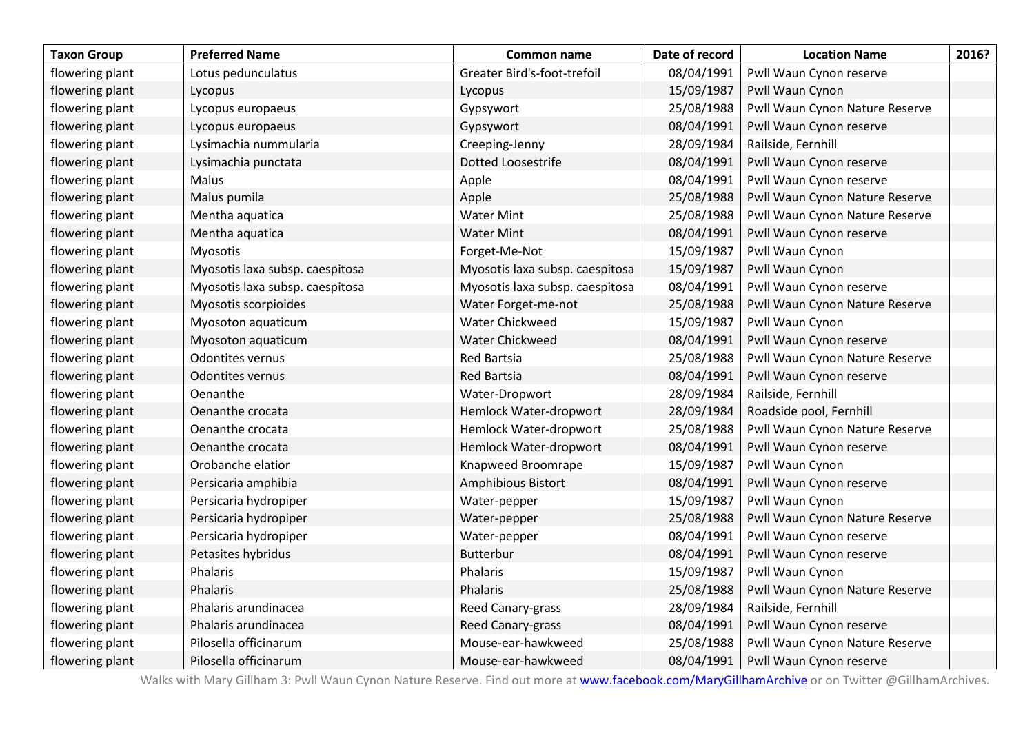| <b>Taxon Group</b> | <b>Preferred Name</b>           | <b>Common name</b>              | Date of record | <b>Location Name</b>           | 2016? |
|--------------------|---------------------------------|---------------------------------|----------------|--------------------------------|-------|
| flowering plant    | Lotus pedunculatus              | Greater Bird's-foot-trefoil     | 08/04/1991     | Pwll Waun Cynon reserve        |       |
| flowering plant    | Lycopus                         | Lycopus                         | 15/09/1987     | Pwll Waun Cynon                |       |
| flowering plant    | Lycopus europaeus               | Gypsywort                       | 25/08/1988     | Pwll Waun Cynon Nature Reserve |       |
| flowering plant    | Lycopus europaeus               | Gypsywort                       | 08/04/1991     | Pwll Waun Cynon reserve        |       |
| flowering plant    | Lysimachia nummularia           | Creeping-Jenny                  | 28/09/1984     | Railside, Fernhill             |       |
| flowering plant    | Lysimachia punctata             | Dotted Loosestrife              | 08/04/1991     | Pwll Waun Cynon reserve        |       |
| flowering plant    | Malus                           | Apple                           | 08/04/1991     | Pwll Waun Cynon reserve        |       |
| flowering plant    | Malus pumila                    | Apple                           | 25/08/1988     | Pwll Waun Cynon Nature Reserve |       |
| flowering plant    | Mentha aquatica                 | <b>Water Mint</b>               | 25/08/1988     | Pwll Waun Cynon Nature Reserve |       |
| flowering plant    | Mentha aquatica                 | <b>Water Mint</b>               | 08/04/1991     | Pwll Waun Cynon reserve        |       |
| flowering plant    | Myosotis                        | Forget-Me-Not                   | 15/09/1987     | Pwll Waun Cynon                |       |
| flowering plant    | Myosotis laxa subsp. caespitosa | Myosotis laxa subsp. caespitosa | 15/09/1987     | Pwll Waun Cynon                |       |
| flowering plant    | Myosotis laxa subsp. caespitosa | Myosotis laxa subsp. caespitosa | 08/04/1991     | Pwll Waun Cynon reserve        |       |
| flowering plant    | Myosotis scorpioides            | Water Forget-me-not             | 25/08/1988     | Pwll Waun Cynon Nature Reserve |       |
| flowering plant    | Myosoton aquaticum              | Water Chickweed                 | 15/09/1987     | Pwll Waun Cynon                |       |
| flowering plant    | Myosoton aquaticum              | Water Chickweed                 | 08/04/1991     | Pwll Waun Cynon reserve        |       |
| flowering plant    | Odontites vernus                | <b>Red Bartsia</b>              | 25/08/1988     | Pwll Waun Cynon Nature Reserve |       |
| flowering plant    | Odontites vernus                | <b>Red Bartsia</b>              | 08/04/1991     | Pwll Waun Cynon reserve        |       |
| flowering plant    | Oenanthe                        | Water-Dropwort                  | 28/09/1984     | Railside, Fernhill             |       |
| flowering plant    | Oenanthe crocata                | Hemlock Water-dropwort          | 28/09/1984     | Roadside pool, Fernhill        |       |
| flowering plant    | Oenanthe crocata                | Hemlock Water-dropwort          | 25/08/1988     | Pwll Waun Cynon Nature Reserve |       |
| flowering plant    | Oenanthe crocata                | Hemlock Water-dropwort          | 08/04/1991     | Pwll Waun Cynon reserve        |       |
| flowering plant    | Orobanche elatior               | Knapweed Broomrape              | 15/09/1987     | Pwll Waun Cynon                |       |
| flowering plant    | Persicaria amphibia             | Amphibious Bistort              | 08/04/1991     | Pwll Waun Cynon reserve        |       |
| flowering plant    | Persicaria hydropiper           | Water-pepper                    | 15/09/1987     | Pwll Waun Cynon                |       |
| flowering plant    | Persicaria hydropiper           | Water-pepper                    | 25/08/1988     | Pwll Waun Cynon Nature Reserve |       |
| flowering plant    | Persicaria hydropiper           | Water-pepper                    | 08/04/1991     | Pwll Waun Cynon reserve        |       |
| flowering plant    | Petasites hybridus              | <b>Butterbur</b>                | 08/04/1991     | Pwll Waun Cynon reserve        |       |
| flowering plant    | Phalaris                        | Phalaris                        | 15/09/1987     | Pwll Waun Cynon                |       |
| flowering plant    | Phalaris                        | Phalaris                        | 25/08/1988     | Pwll Waun Cynon Nature Reserve |       |
| flowering plant    | Phalaris arundinacea            | Reed Canary-grass               | 28/09/1984     | Railside, Fernhill             |       |
| flowering plant    | Phalaris arundinacea            | Reed Canary-grass               | 08/04/1991     | Pwll Waun Cynon reserve        |       |
| flowering plant    | Pilosella officinarum           | Mouse-ear-hawkweed              | 25/08/1988     | Pwll Waun Cynon Nature Reserve |       |
| flowering plant    | Pilosella officinarum           | Mouse-ear-hawkweed              | 08/04/1991     | Pwll Waun Cynon reserve        |       |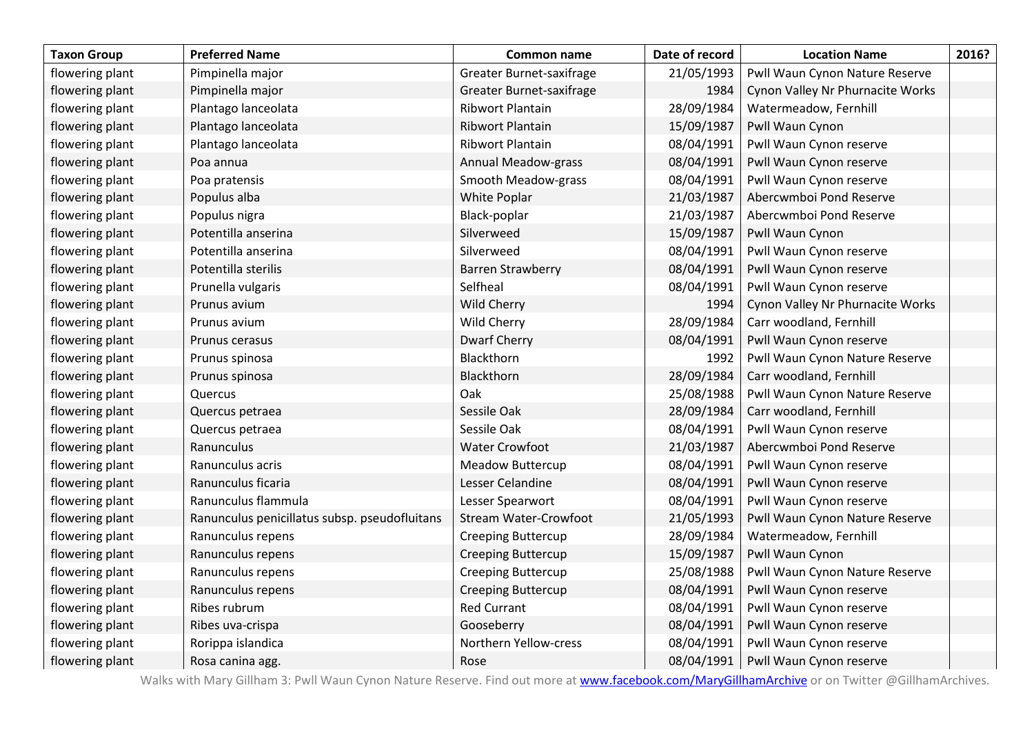| <b>Taxon Group</b> | <b>Preferred Name</b>                         | Common name                  | Date of record | <b>Location Name</b>             | 2016? |
|--------------------|-----------------------------------------------|------------------------------|----------------|----------------------------------|-------|
| flowering plant    | Pimpinella major                              | Greater Burnet-saxifrage     | 21/05/1993     | Pwll Waun Cynon Nature Reserve   |       |
| flowering plant    | Pimpinella major                              | Greater Burnet-saxifrage     | 1984           | Cynon Valley Nr Phurnacite Works |       |
| flowering plant    | Plantago lanceolata                           | <b>Ribwort Plantain</b>      | 28/09/1984     | Watermeadow, Fernhill            |       |
| flowering plant    | Plantago lanceolata                           | <b>Ribwort Plantain</b>      | 15/09/1987     | Pwll Waun Cynon                  |       |
| flowering plant    | Plantago lanceolata                           | <b>Ribwort Plantain</b>      | 08/04/1991     | Pwll Waun Cynon reserve          |       |
| flowering plant    | Poa annua                                     | Annual Meadow-grass          | 08/04/1991     | Pwll Waun Cynon reserve          |       |
| flowering plant    | Poa pratensis                                 | Smooth Meadow-grass          | 08/04/1991     | Pwll Waun Cynon reserve          |       |
| flowering plant    | Populus alba                                  | White Poplar                 | 21/03/1987     | Abercwmboi Pond Reserve          |       |
| flowering plant    | Populus nigra                                 | Black-poplar                 | 21/03/1987     | Abercwmboi Pond Reserve          |       |
| flowering plant    | Potentilla anserina                           | Silverweed                   | 15/09/1987     | Pwll Waun Cynon                  |       |
| flowering plant    | Potentilla anserina                           | Silverweed                   | 08/04/1991     | Pwll Waun Cynon reserve          |       |
| flowering plant    | Potentilla sterilis                           | <b>Barren Strawberry</b>     | 08/04/1991     | Pwll Waun Cynon reserve          |       |
| flowering plant    | Prunella vulgaris                             | Selfheal                     | 08/04/1991     | Pwll Waun Cynon reserve          |       |
| flowering plant    | Prunus avium                                  | Wild Cherry                  | 1994           | Cynon Valley Nr Phurnacite Works |       |
| flowering plant    | Prunus avium                                  | Wild Cherry                  | 28/09/1984     | Carr woodland, Fernhill          |       |
| flowering plant    | Prunus cerasus                                | <b>Dwarf Cherry</b>          | 08/04/1991     | Pwll Waun Cynon reserve          |       |
| flowering plant    | Prunus spinosa                                | Blackthorn                   | 1992           | Pwll Waun Cynon Nature Reserve   |       |
| flowering plant    | Prunus spinosa                                | Blackthorn                   | 28/09/1984     | Carr woodland, Fernhill          |       |
| flowering plant    | Quercus                                       | Oak                          | 25/08/1988     | Pwll Waun Cynon Nature Reserve   |       |
| flowering plant    | Quercus petraea                               | Sessile Oak                  | 28/09/1984     | Carr woodland, Fernhill          |       |
| flowering plant    | Quercus petraea                               | Sessile Oak                  | 08/04/1991     | Pwll Waun Cynon reserve          |       |
| flowering plant    | Ranunculus                                    | <b>Water Crowfoot</b>        | 21/03/1987     | Abercwmboi Pond Reserve          |       |
| flowering plant    | Ranunculus acris                              | <b>Meadow Buttercup</b>      | 08/04/1991     | Pwll Waun Cynon reserve          |       |
| flowering plant    | Ranunculus ficaria                            | Lesser Celandine             | 08/04/1991     | Pwll Waun Cynon reserve          |       |
| flowering plant    | Ranunculus flammula                           | Lesser Spearwort             | 08/04/1991     | Pwll Waun Cynon reserve          |       |
| flowering plant    | Ranunculus penicillatus subsp. pseudofluitans | <b>Stream Water-Crowfoot</b> | 21/05/1993     | Pwll Waun Cynon Nature Reserve   |       |
| flowering plant    | Ranunculus repens                             | <b>Creeping Buttercup</b>    | 28/09/1984     | Watermeadow, Fernhill            |       |
| flowering plant    | Ranunculus repens                             | <b>Creeping Buttercup</b>    | 15/09/1987     | Pwll Waun Cynon                  |       |
| flowering plant    | Ranunculus repens                             | <b>Creeping Buttercup</b>    | 25/08/1988     | Pwll Waun Cynon Nature Reserve   |       |
| flowering plant    | Ranunculus repens                             | <b>Creeping Buttercup</b>    | 08/04/1991     | Pwll Waun Cynon reserve          |       |
| flowering plant    | Ribes rubrum                                  | <b>Red Currant</b>           | 08/04/1991     | Pwll Waun Cynon reserve          |       |
| flowering plant    | Ribes uva-crispa                              | Gooseberry                   | 08/04/1991     | Pwll Waun Cynon reserve          |       |
| flowering plant    | Rorippa islandica                             | Northern Yellow-cress        | 08/04/1991     | Pwll Waun Cynon reserve          |       |
| flowering plant    | Rosa canina agg.                              | Rose                         | 08/04/1991     | Pwll Waun Cynon reserve          |       |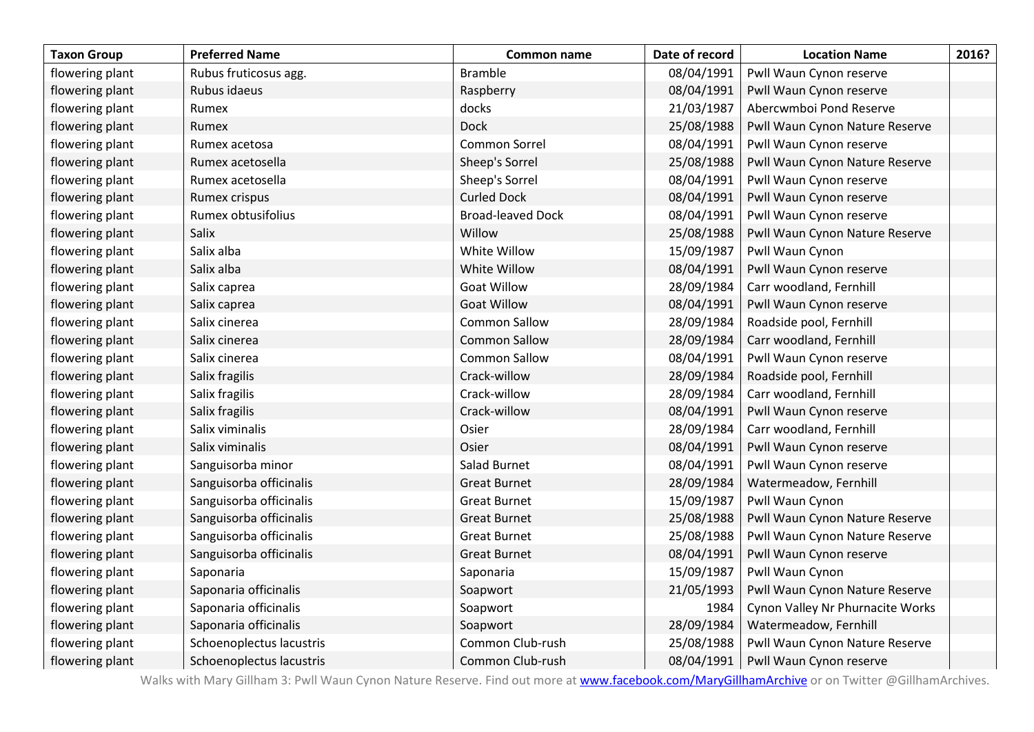| <b>Taxon Group</b> | <b>Preferred Name</b>    | Common name              | Date of record | <b>Location Name</b>             | 2016? |
|--------------------|--------------------------|--------------------------|----------------|----------------------------------|-------|
| flowering plant    | Rubus fruticosus agg.    | <b>Bramble</b>           | 08/04/1991     | Pwll Waun Cynon reserve          |       |
| flowering plant    | Rubus idaeus             | Raspberry                | 08/04/1991     | Pwll Waun Cynon reserve          |       |
| flowering plant    | Rumex                    | docks                    | 21/03/1987     | Abercwmboi Pond Reserve          |       |
| flowering plant    | Rumex                    | <b>Dock</b>              | 25/08/1988     | Pwll Waun Cynon Nature Reserve   |       |
| flowering plant    | Rumex acetosa            | Common Sorrel            | 08/04/1991     | Pwll Waun Cynon reserve          |       |
| flowering plant    | Rumex acetosella         | Sheep's Sorrel           | 25/08/1988     | Pwll Waun Cynon Nature Reserve   |       |
| flowering plant    | Rumex acetosella         | Sheep's Sorrel           | 08/04/1991     | Pwll Waun Cynon reserve          |       |
| flowering plant    | Rumex crispus            | <b>Curled Dock</b>       | 08/04/1991     | Pwll Waun Cynon reserve          |       |
| flowering plant    | Rumex obtusifolius       | <b>Broad-leaved Dock</b> | 08/04/1991     | Pwll Waun Cynon reserve          |       |
| flowering plant    | Salix                    | Willow                   | 25/08/1988     | Pwll Waun Cynon Nature Reserve   |       |
| flowering plant    | Salix alba               | White Willow             | 15/09/1987     | Pwll Waun Cynon                  |       |
| flowering plant    | Salix alba               | White Willow             | 08/04/1991     | Pwll Waun Cynon reserve          |       |
| flowering plant    | Salix caprea             | <b>Goat Willow</b>       | 28/09/1984     | Carr woodland, Fernhill          |       |
| flowering plant    | Salix caprea             | <b>Goat Willow</b>       | 08/04/1991     | Pwll Waun Cynon reserve          |       |
| flowering plant    | Salix cinerea            | <b>Common Sallow</b>     | 28/09/1984     | Roadside pool, Fernhill          |       |
| flowering plant    | Salix cinerea            | <b>Common Sallow</b>     | 28/09/1984     | Carr woodland, Fernhill          |       |
| flowering plant    | Salix cinerea            | <b>Common Sallow</b>     | 08/04/1991     | Pwll Waun Cynon reserve          |       |
| flowering plant    | Salix fragilis           | Crack-willow             | 28/09/1984     | Roadside pool, Fernhill          |       |
| flowering plant    | Salix fragilis           | Crack-willow             | 28/09/1984     | Carr woodland, Fernhill          |       |
| flowering plant    | Salix fragilis           | Crack-willow             | 08/04/1991     | Pwll Waun Cynon reserve          |       |
| flowering plant    | Salix viminalis          | Osier                    | 28/09/1984     | Carr woodland, Fernhill          |       |
| flowering plant    | Salix viminalis          | Osier                    | 08/04/1991     | Pwll Waun Cynon reserve          |       |
| flowering plant    | Sanguisorba minor        | Salad Burnet             | 08/04/1991     | Pwll Waun Cynon reserve          |       |
| flowering plant    | Sanguisorba officinalis  | <b>Great Burnet</b>      | 28/09/1984     | Watermeadow, Fernhill            |       |
| flowering plant    | Sanguisorba officinalis  | <b>Great Burnet</b>      | 15/09/1987     | Pwll Waun Cynon                  |       |
| flowering plant    | Sanguisorba officinalis  | <b>Great Burnet</b>      | 25/08/1988     | Pwll Waun Cynon Nature Reserve   |       |
| flowering plant    | Sanguisorba officinalis  | <b>Great Burnet</b>      | 25/08/1988     | Pwll Waun Cynon Nature Reserve   |       |
| flowering plant    | Sanguisorba officinalis  | <b>Great Burnet</b>      | 08/04/1991     | Pwll Waun Cynon reserve          |       |
| flowering plant    | Saponaria                | Saponaria                | 15/09/1987     | Pwll Waun Cynon                  |       |
| flowering plant    | Saponaria officinalis    | Soapwort                 | 21/05/1993     | Pwll Waun Cynon Nature Reserve   |       |
| flowering plant    | Saponaria officinalis    | Soapwort                 | 1984           | Cynon Valley Nr Phurnacite Works |       |
| flowering plant    | Saponaria officinalis    | Soapwort                 | 28/09/1984     | Watermeadow, Fernhill            |       |
| flowering plant    | Schoenoplectus lacustris | Common Club-rush         | 25/08/1988     | Pwll Waun Cynon Nature Reserve   |       |
| flowering plant    | Schoenoplectus lacustris | Common Club-rush         | 08/04/1991     | Pwll Waun Cynon reserve          |       |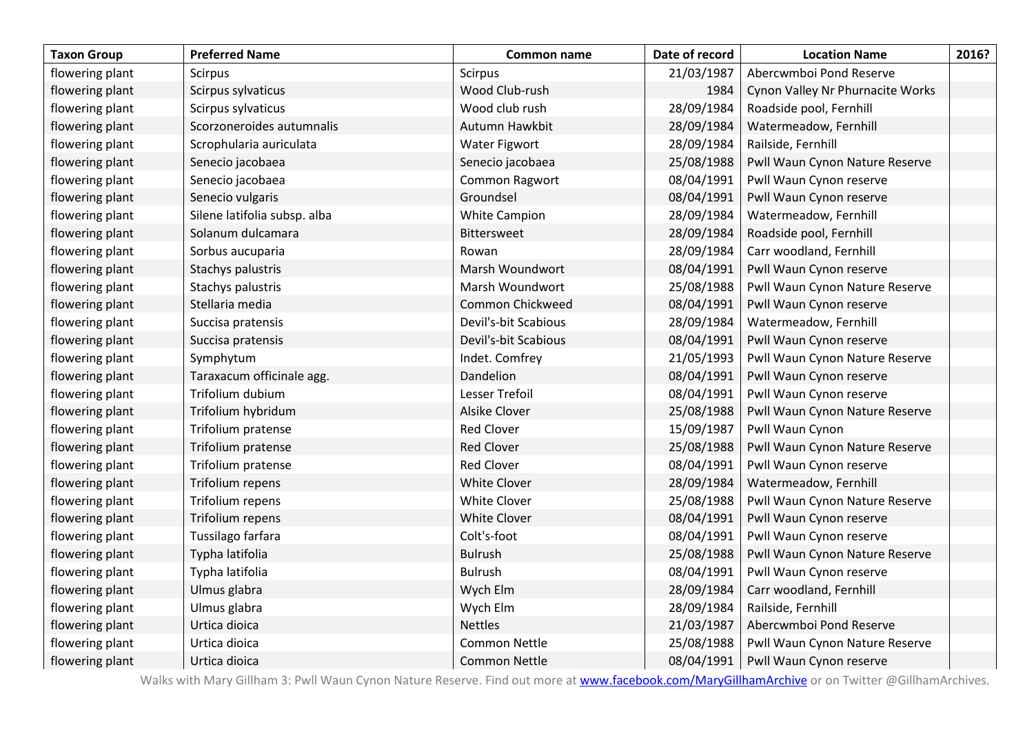| <b>Taxon Group</b> | <b>Preferred Name</b>        | Common name          | Date of record | <b>Location Name</b>             | 2016? |
|--------------------|------------------------------|----------------------|----------------|----------------------------------|-------|
| flowering plant    | Scirpus                      | <b>Scirpus</b>       | 21/03/1987     | Abercwmboi Pond Reserve          |       |
| flowering plant    | Scirpus sylvaticus           | Wood Club-rush       | 1984           | Cynon Valley Nr Phurnacite Works |       |
| flowering plant    | Scirpus sylvaticus           | Wood club rush       | 28/09/1984     | Roadside pool, Fernhill          |       |
| flowering plant    | Scorzoneroides autumnalis    | Autumn Hawkbit       | 28/09/1984     | Watermeadow, Fernhill            |       |
| flowering plant    | Scrophularia auriculata      | Water Figwort        | 28/09/1984     | Railside, Fernhill               |       |
| flowering plant    | Senecio jacobaea             | Senecio jacobaea     | 25/08/1988     | Pwll Waun Cynon Nature Reserve   |       |
| flowering plant    | Senecio jacobaea             | Common Ragwort       | 08/04/1991     | Pwll Waun Cynon reserve          |       |
| flowering plant    | Senecio vulgaris             | Groundsel            | 08/04/1991     | Pwll Waun Cynon reserve          |       |
| flowering plant    | Silene latifolia subsp. alba | <b>White Campion</b> | 28/09/1984     | Watermeadow, Fernhill            |       |
| flowering plant    | Solanum dulcamara            | Bittersweet          | 28/09/1984     | Roadside pool, Fernhill          |       |
| flowering plant    | Sorbus aucuparia             | Rowan                | 28/09/1984     | Carr woodland, Fernhill          |       |
| flowering plant    | Stachys palustris            | Marsh Woundwort      | 08/04/1991     | Pwll Waun Cynon reserve          |       |
| flowering plant    | Stachys palustris            | Marsh Woundwort      | 25/08/1988     | Pwll Waun Cynon Nature Reserve   |       |
| flowering plant    | Stellaria media              | Common Chickweed     | 08/04/1991     | Pwll Waun Cynon reserve          |       |
| flowering plant    | Succisa pratensis            | Devil's-bit Scabious | 28/09/1984     | Watermeadow, Fernhill            |       |
| flowering plant    | Succisa pratensis            | Devil's-bit Scabious | 08/04/1991     | Pwll Waun Cynon reserve          |       |
| flowering plant    | Symphytum                    | Indet. Comfrey       | 21/05/1993     | Pwll Waun Cynon Nature Reserve   |       |
| flowering plant    | Taraxacum officinale agg.    | Dandelion            | 08/04/1991     | Pwll Waun Cynon reserve          |       |
| flowering plant    | Trifolium dubium             | Lesser Trefoil       | 08/04/1991     | Pwll Waun Cynon reserve          |       |
| flowering plant    | Trifolium hybridum           | <b>Alsike Clover</b> | 25/08/1988     | Pwll Waun Cynon Nature Reserve   |       |
| flowering plant    | Trifolium pratense           | <b>Red Clover</b>    | 15/09/1987     | Pwll Waun Cynon                  |       |
| flowering plant    | Trifolium pratense           | <b>Red Clover</b>    | 25/08/1988     | Pwll Waun Cynon Nature Reserve   |       |
| flowering plant    | Trifolium pratense           | <b>Red Clover</b>    | 08/04/1991     | Pwll Waun Cynon reserve          |       |
| flowering plant    | Trifolium repens             | <b>White Clover</b>  | 28/09/1984     | Watermeadow, Fernhill            |       |
| flowering plant    | Trifolium repens             | White Clover         | 25/08/1988     | Pwll Waun Cynon Nature Reserve   |       |
| flowering plant    | Trifolium repens             | <b>White Clover</b>  | 08/04/1991     | Pwll Waun Cynon reserve          |       |
| flowering plant    | Tussilago farfara            | Colt's-foot          | 08/04/1991     | Pwll Waun Cynon reserve          |       |
| flowering plant    | Typha latifolia              | <b>Bulrush</b>       | 25/08/1988     | Pwll Waun Cynon Nature Reserve   |       |
| flowering plant    | Typha latifolia              | <b>Bulrush</b>       | 08/04/1991     | Pwll Waun Cynon reserve          |       |
| flowering plant    | Ulmus glabra                 | Wych Elm             | 28/09/1984     | Carr woodland, Fernhill          |       |
| flowering plant    | Ulmus glabra                 | Wych Elm             | 28/09/1984     | Railside, Fernhill               |       |
| flowering plant    | Urtica dioica                | <b>Nettles</b>       | 21/03/1987     | Abercwmboi Pond Reserve          |       |
| flowering plant    | Urtica dioica                | <b>Common Nettle</b> | 25/08/1988     | Pwll Waun Cynon Nature Reserve   |       |
| flowering plant    | Urtica dioica                | <b>Common Nettle</b> | 08/04/1991     | Pwll Waun Cynon reserve          |       |